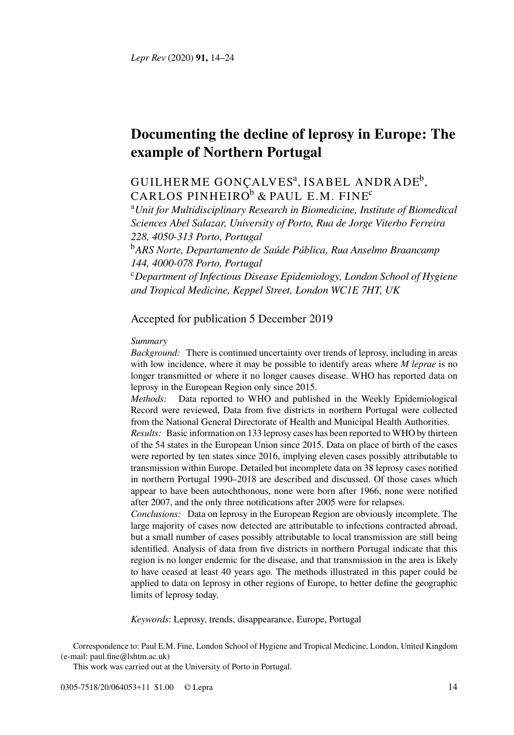# **Documenting the decline of leprosy in Europe: The example of Northern Portugal**

# GUILHERME GONÇALVESª, ISABEL ANDRADE<sup>[b](#page-0-1)</sup>, CARLOS PINHEIRO<sup>[b](#page-0-1)</sup> & PAUL E.M. FINE<sup>[c](#page-0-2)</sup>

<span id="page-0-0"></span><sup>a</sup>*Unit for Multidisciplinary Research in Biomedicine, Institute of Biomedical Sciences Abel Salazar, University of Porto, Rua de Jorge Viterbo Ferreira 228, 4050-313 Porto, Portugal*

<span id="page-0-1"></span><sup>b</sup>*ARS Norte, Departamento de Saúde Pública, Rua Anselmo Braancamp 144, 4000-078 Porto, Portugal*

<span id="page-0-2"></span><sup>c</sup>*Department of Infectious Disease Epidemiology, London School of Hygiene and Tropical Medicine, Keppel Street, London WC1E 7HT, UK*

# Accepted for publication 5 December 2019

#### *Summary*

*Background:* There is continued uncertainty over trends of leprosy, including in areas with low incidence, where it may be possible to identify areas where *M leprae* is no longer transmitted or where it no longer causes disease. WHO has reported data on leprosy in the European Region only since 2015.

*Methods:* Data reported to WHO and published in the Weekly Epidemiological Record were reviewed, Data from five districts in northern Portugal were collected from the National General Directorate of Health and Municipal Health Authorities.

*Results:* Basic information on 133 leprosy cases has been reported to WHO by thirteen of the 54 states in the European Union since 2015. Data on place of birth of the cases were reported by ten states since 2016, implying eleven cases possibly attributable to transmission within Europe. Detailed but incomplete data on 38 leprosy cases notified in northern Portugal 1990–2018 are described and discussed. Of those cases which appear to have been autochthonous, none were born after 1966, none were notified after 2007, and the only three notifications after 2005 were for relapses.

*Conclusions:* Data on leprosy in the European Region are obviously incomplete. The large majority of cases now detected are attributable to infections contracted abroad, but a small number of cases possibly attributable to local transmission are still being identified. Analysis of data from five districts in northern Portugal indicate that this region is no longer endemic for the disease, and that transmission in the area is likely to have ceased at least 40 years ago. The methods illustrated in this paper could be applied to data on leprosy in other regions of Europe, to better define the geographic limits of leprosy today.

*Keywords*: Leprosy, trends, disappearance, Europe, Portugal

Correspondence to: Paul E.M. Fine, London School of Hygiene and Tropical Medicine, London, United Kingdom (e-mail: [paul.fine@lshtm.ac.uk\)](mailto:paul.fine@lshtm.ac.uk)

This work was carried out at the University of Porto in Portugal.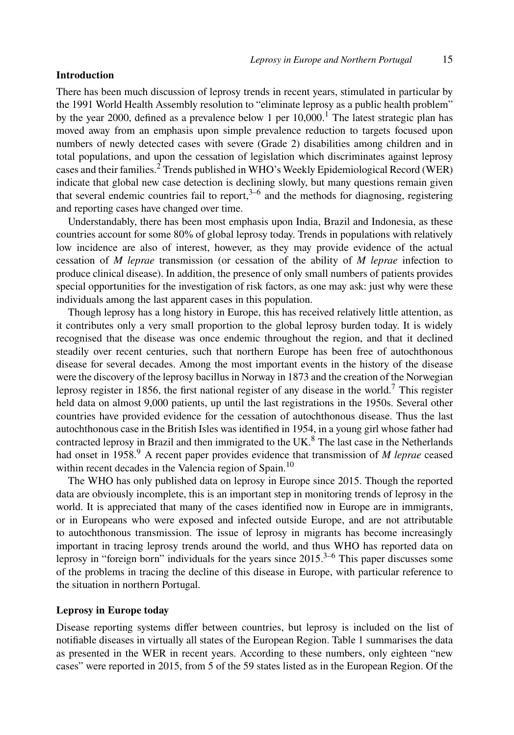#### **Introduction**

There has been much discussion of leprosy trends in recent years, stimulated in particular by the 1991 World Health Assembly resolution to "eliminate leprosy as a public health problem" by the year 2000, defined as a prevalence below [1](#page-10-0) per  $10,000$ .<sup>1</sup> The latest strategic plan has moved away from an emphasis upon simple prevalence reduction to targets focused upon numbers of newly detected cases with severe (Grade 2) disabilities among children and in total populations, and upon the cessation of legislation which discriminates against leprosy cases and their families.[2](#page-10-1) Trends published in WHO's Weekly Epidemiological Record (WER) indicate that global new case detection is declining slowly, but many questions remain given that several endemic countries fail to report, $3-6$  $3-6$  and the methods for diagnosing, registering and reporting cases have changed over time.

Understandably, there has been most emphasis upon India, Brazil and Indonesia, as these countries account for some 80% of global leprosy today. Trends in populations with relatively low incidence are also of interest, however, as they may provide evidence of the actual cessation of *M leprae* transmission (or cessation of the ability of *M leprae* infection to produce clinical disease). In addition, the presence of only small numbers of patients provides special opportunities for the investigation of risk factors, as one may ask: just why were these individuals among the last apparent cases in this population.

Though leprosy has a long history in Europe, this has received relatively little attention, as it contributes only a very small proportion to the global leprosy burden today. It is widely recognised that the disease was once endemic throughout the region, and that it declined steadily over recent centuries, such that northern Europe has been free of autochthonous disease for several decades. Among the most important events in the history of the disease were the discovery of the leprosy bacillus in Norway in 1873 and the creation of the Norwegian leprosy register in 1856, the first national register of any disease in the world.<sup>[7](#page-10-4)</sup> This register held data on almost 9,000 patients, up until the last registrations in the 1950s. Several other countries have provided evidence for the cessation of autochthonous disease. Thus the last autochthonous case in the British Isles was identified in 1954, in a young girl whose father had contracted leprosy in Brazil and then immigrated to the UK. $8$  The last case in the Netherlands had onset in 1[9](#page-10-6)58.<sup>9</sup> A recent paper provides evidence that transmission of *M leprae* ceased within recent decades in the Valencia region of Spain.<sup>[10](#page-10-7)</sup>

The WHO has only published data on leprosy in Europe since 2015. Though the reported data are obviously incomplete, this is an important step in monitoring trends of leprosy in the world. It is appreciated that many of the cases identified now in Europe are in immigrants, or in Europeans who were exposed and infected outside Europe, and are not attributable to autochthonous transmission. The issue of leprosy in migrants has become increasingly important in tracing leprosy trends around the world, and thus WHO has reported data on leprosy in "foreign born" individuals for the years since  $2015$ .<sup>[3](#page-10-2)–[6](#page-10-3)</sup> This paper discusses some of the problems in tracing the decline of this disease in Europe, with particular reference to the situation in northern Portugal.

#### **Leprosy in Europe today**

Disease reporting systems differ between countries, but leprosy is included on the list of notifiable diseases in virtually all states of the European Region. Table [1](#page-2-0) summarises the data as presented in the WER in recent years. According to these numbers, only eighteen "new cases" were reported in 2015, from 5 of the 59 states listed as in the European Region. Of the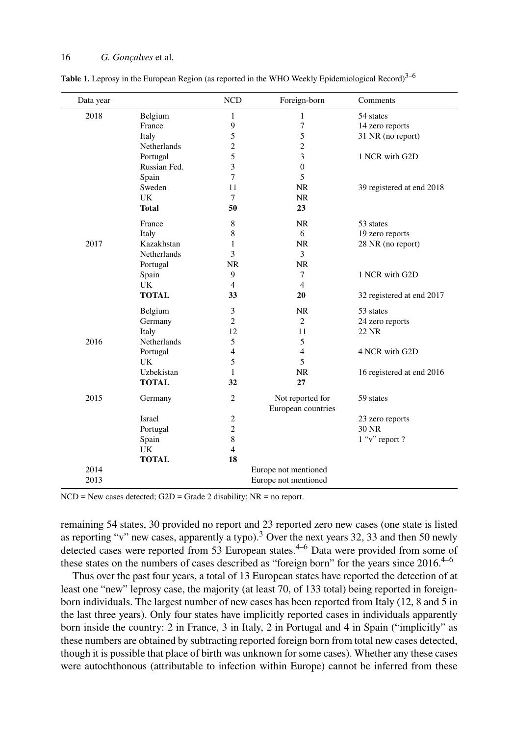| Data year |                      | <b>NCD</b>     | Foreign-born         | Comments                  |  |  |  |
|-----------|----------------------|----------------|----------------------|---------------------------|--|--|--|
| 2018      | Belgium              | $\mathbf{1}$   | $\mathbf{1}$         | 54 states                 |  |  |  |
|           | France               | 9              | 7                    | 14 zero reports           |  |  |  |
|           | Italy                | 5              | 5                    | 31 NR (no report)         |  |  |  |
|           | Netherlands          | 2              | $\overline{c}$       |                           |  |  |  |
|           | Portugal             | 5              | 3                    | 1 NCR with G2D            |  |  |  |
|           | Russian Fed.         | 3              | $\mathbf{0}$         |                           |  |  |  |
|           | Spain                | 7              | 5                    |                           |  |  |  |
|           | Sweden               | 11             | <b>NR</b>            | 39 registered at end 2018 |  |  |  |
|           | UK                   | 7              | <b>NR</b>            |                           |  |  |  |
|           | <b>Total</b>         | 50             | 23                   |                           |  |  |  |
|           | France               | 8              | NR.                  | 53 states                 |  |  |  |
|           | Italy                | 8              | 6                    | 19 zero reports           |  |  |  |
| 2017      | Kazakhstan           | 1              | NR.                  | 28 NR (no report)         |  |  |  |
|           | <b>Netherlands</b>   | 3              | 3                    |                           |  |  |  |
|           | Portugal             | <b>NR</b>      | <b>NR</b>            |                           |  |  |  |
|           | Spain                | 9              | $\tau$               | 1 NCR with G2D            |  |  |  |
|           | UK                   | $\overline{4}$ | $\overline{4}$       |                           |  |  |  |
|           | <b>TOTAL</b>         | 33             | 20                   | 32 registered at end 2017 |  |  |  |
|           | Belgium              | 3              | NR.                  | 53 states                 |  |  |  |
|           | Germany              | $\overline{2}$ | $\overline{2}$       | 24 zero reports           |  |  |  |
|           | Italy                | 12             | 11                   | 22 NR                     |  |  |  |
| 2016      | Netherlands          | 5              | 5                    |                           |  |  |  |
|           | Portugal             | $\overline{4}$ | $\overline{4}$       | 4 NCR with G2D            |  |  |  |
|           | UK                   | 5              | 5                    |                           |  |  |  |
|           | Uzbekistan           | 1              | <b>NR</b>            | 16 registered at end 2016 |  |  |  |
|           | <b>TOTAL</b>         | 32             | 27                   |                           |  |  |  |
| 2015      | Germany              | $\overline{c}$ | Not reported for     | 59 states                 |  |  |  |
|           |                      |                | European countries   |                           |  |  |  |
|           | Israel               | $\mathfrak{2}$ |                      | 23 zero reports           |  |  |  |
|           | Portugal             | $\overline{2}$ |                      | 30 NR                     |  |  |  |
|           | Spain                | 8              |                      | $1$ "v" report ?          |  |  |  |
|           | UK                   | $\overline{4}$ |                      |                           |  |  |  |
|           | <b>TOTAL</b>         | 18             |                      |                           |  |  |  |
| 2014      |                      |                | Europe not mentioned |                           |  |  |  |
| 2013      | Europe not mentioned |                |                      |                           |  |  |  |

<span id="page-2-0"></span>**Table 1.** Leprosy in the European Region (as reported in the WHO Weekly Epidemiological Record)<sup>[3](#page-10-2)[–6](#page-10-3)</sup>

 $NCD = New cases detected; G2D = Grade 2 disability; NR = no report.$ 

remaining 54 states, 30 provided no report and 23 reported zero new cases (one state is listed as reporting "v" new cases, apparently a typo).<sup>[3](#page-10-2)</sup> Over the next years 32, 33 and then 50 newly detected cases were reported from 53 European states.<sup>[4](#page-10-8)[–6](#page-10-3)</sup> Data were provided from some of these states on the numbers of cases described as "foreign born" for the years since  $2016$  $2016$ .<sup>[4](#page-10-8)–6</sup>

Thus over the past four years, a total of 13 European states have reported the detection of at least one "new" leprosy case, the majority (at least 70, of 133 total) being reported in foreignborn individuals. The largest number of new cases has been reported from Italy (12, 8 and 5 in the last three years). Only four states have implicitly reported cases in individuals apparently born inside the country: 2 in France, 3 in Italy, 2 in Portugal and 4 in Spain ("implicitly" as these numbers are obtained by subtracting reported foreign born from total new cases detected, though it is possible that place of birth was unknown for some cases). Whether any these cases were autochthonous (attributable to infection within Europe) cannot be inferred from these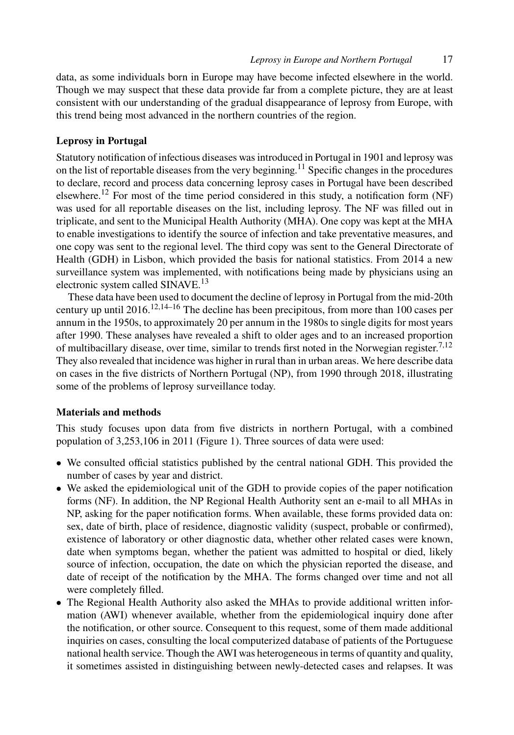data, as some individuals born in Europe may have become infected elsewhere in the world. Though we may suspect that these data provide far from a complete picture, they are at least consistent with our understanding of the gradual disappearance of leprosy from Europe, with this trend being most advanced in the northern countries of the region.

# **Leprosy in Portugal**

Statutory notification of infectious diseases was introduced in Portugal in 1901 and leprosy was on the list of reportable diseases from the very beginning.[11](#page-10-9) Specific changes in the procedures to declare, record and process data concerning leprosy cases in Portugal have been described elsewhere.<sup>[12](#page-10-10)</sup> For most of the time period considered in this study, a notification form (NF) was used for all reportable diseases on the list, including leprosy. The NF was filled out in triplicate, and sent to the Municipal Health Authority (MHA). One copy was kept at the MHA to enable investigations to identify the source of infection and take preventative measures, and one copy was sent to the regional level. The third copy was sent to the General Directorate of Health (GDH) in Lisbon, which provided the basis for national statistics. From 2014 a new surveillance system was implemented, with notifications being made by physicians using an electronic system called SINAVE.[13](#page-10-11)

These data have been used to document the decline of leprosy in Portugal from the mid-20th century up until 2016.<sup>[12](#page-10-10)[,14–](#page-10-12)[16](#page-10-13)</sup> The decline has been precipitous, from more than 100 cases per annum in the 1950s, to approximately 20 per annum in the 1980s to single digits for most years after 1990. These analyses have revealed a shift to older ages and to an increased proportion of multibacillary disease, over time, similar to trends first noted in the Norwegian register.<sup>[7,](#page-10-4)[12](#page-10-10)</sup> They also revealed that incidence was higher in rural than in urban areas. We here describe data on cases in the five districts of Northern Portugal (NP), from 1990 through 2018, illustrating some of the problems of leprosy surveillance today.

#### **Materials and methods**

This study focuses upon data from five districts in northern Portugal, with a combined population of 3,253,106 in 2011 (Figure [1\)](#page-4-0). Three sources of data were used:

- We consulted official statistics published by the central national GDH. This provided the number of cases by year and district.
- We asked the epidemiological unit of the GDH to provide copies of the paper notification forms (NF). In addition, the NP Regional Health Authority sent an e-mail to all MHAs in NP, asking for the paper notification forms. When available, these forms provided data on: sex, date of birth, place of residence, diagnostic validity (suspect, probable or confirmed), existence of laboratory or other diagnostic data, whether other related cases were known, date when symptoms began, whether the patient was admitted to hospital or died, likely source of infection, occupation, the date on which the physician reported the disease, and date of receipt of the notification by the MHA. The forms changed over time and not all were completely filled.
- The Regional Health Authority also asked the MHAs to provide additional written information (AWI) whenever available, whether from the epidemiological inquiry done after the notification, or other source. Consequent to this request, some of them made additional inquiries on cases, consulting the local computerized database of patients of the Portuguese national health service. Though the AWI was heterogeneous in terms of quantity and quality, it sometimes assisted in distinguishing between newly-detected cases and relapses. It was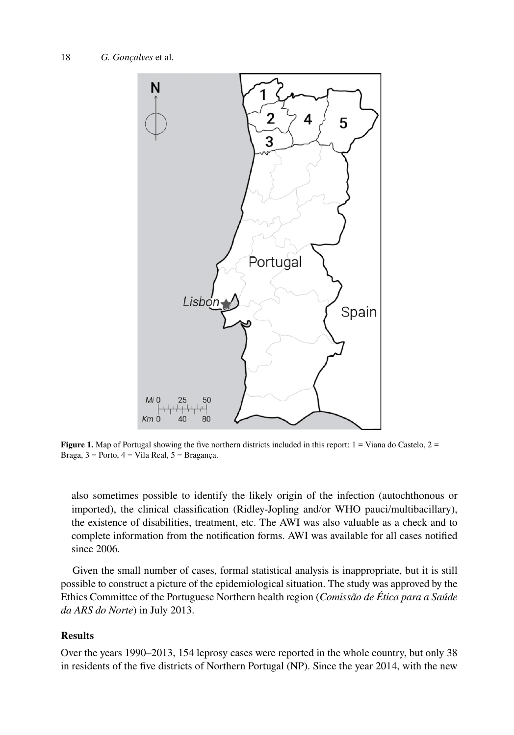<span id="page-4-0"></span>

**Figure 1.** Map of Portugal showing the five northern districts included in this report:  $1 =$  Viana do Castelo,  $2 =$ Braga,  $3$  = Porto,  $4$  = Vila Real,  $5$  = Bragança.

also sometimes possible to identify the likely origin of the infection (autochthonous or imported), the clinical classification (Ridley-Jopling and/or WHO pauci/multibacillary), the existence of disabilities, treatment, etc. The AWI was also valuable as a check and to complete information from the notification forms. AWI was available for all cases notified since 2006.

Given the small number of cases, formal statistical analysis is inappropriate, but it is still possible to construct a picture of the epidemiological situation. The study was approved by the Ethics Committee of the Portuguese Northern health region (*Comissão de Ética para a Saúde da ARS do Norte*) in July 2013.

#### **Results**

Over the years 1990–2013, 154 leprosy cases were reported in the whole country, but only 38 in residents of the five districts of Northern Portugal (NP). Since the year 2014, with the new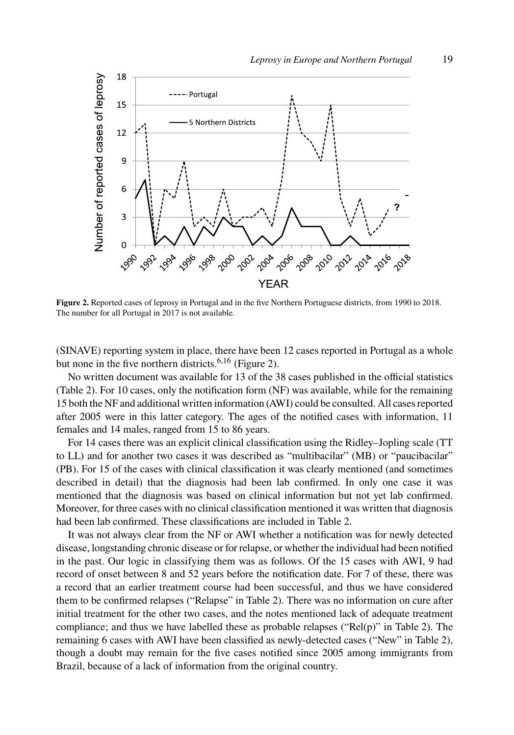<span id="page-5-0"></span>

**Figure 2.** Reported cases of leprosy in Portugal and in the five Northern Portuguese districts, from 1990 to 2018. The number for all Portugal in 2017 is not available.

(SINAVE) reporting system in place, there have been 12 cases reported in Portugal as a whole but none in the five northern districts.  $6,16$  $6,16$  $6,16$  (Figure [2\)](#page-5-0).

No written document was available for 13 of the 38 cases published in the official statistics (Table [2](#page-6-0)). For 10 cases, only the notification form (NF) was available, while for the remaining 15 both the NF and additional written information (AWI) could be consulted. All cases reported after 2005 were in this latter category. The ages of the notified cases with information, 11 females and 14 males, ranged from 15 to 86 years.

For 14 cases there was an explicit clinical classification using the Ridley–Jopling scale (TT to LL) and for another two cases it was described as "multibacilar" (MB) or "paucibacilar" (PB). For 15 of the cases with clinical classification it was clearly mentioned (and sometimes described in detail) that the diagnosis had been lab confirmed. In only one case it was mentioned that the diagnosis was based on clinical information but not yet lab confirmed. Moreover, for three cases with no clinical classification mentioned it was written that diagnosis had been lab confirmed. These classifications are included in Table [2.](#page-6-0)

It was not always clear from the NF or AWI whether a notification was for newly detected disease, longstanding chronic disease or for relapse, or whether the individual had been notified in the past. Our logic in classifying them was as follows. Of the 15 cases with AWI, 9 had record of onset between 8 and 52 years before the notification date. For 7 of these, there was a record that an earlier treatment course had been successful, and thus we have considered them to be confirmed relapses ("Relapse" in Table [2](#page-6-0)). There was no information on cure after initial treatment for the other two cases, and the notes mentioned lack of adequate treatment compliance; and thus we have labelled these as probable relapses (" $Rel(p)$ " in Table [2\)](#page-6-0). The remaining 6 cases with AWI have been classified as newly-detected cases ("New" in Table [2\)](#page-6-0), though a doubt may remain for the five cases notified since 2005 among immigrants from Brazil, because of a lack of information from the original country.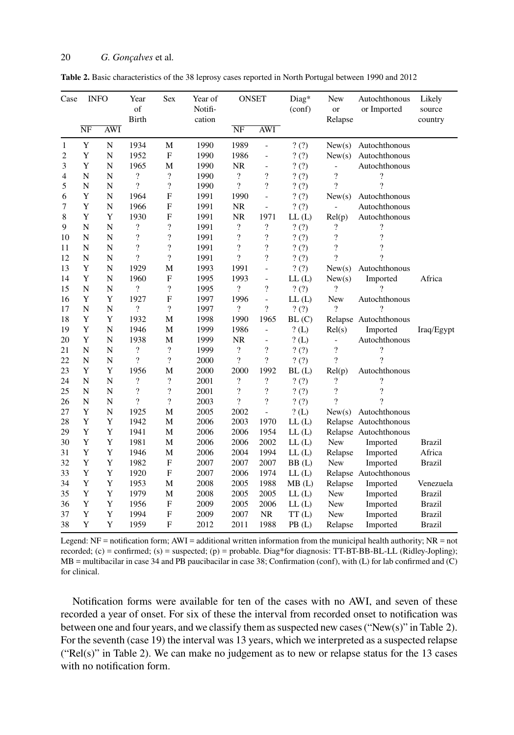<span id="page-6-0"></span>

| Table 2. Basic characteristics of the 38 leprosy cases reported in North Portugal between 1990 and 2012 |  |  |
|---------------------------------------------------------------------------------------------------------|--|--|
|---------------------------------------------------------------------------------------------------------|--|--|

| Case           | <b>INFO</b>         |            | Year<br>of<br><b>Birth</b> | Sex                      | Year of<br>Notifi-<br>cation | <b>ONSET</b>             |                          | Diag*<br>(conf) | New<br><b>or</b><br>Relapse | Autochthonous<br>or Imported | Likely<br>source<br>country |
|----------------|---------------------|------------|----------------------------|--------------------------|------------------------------|--------------------------|--------------------------|-----------------|-----------------------------|------------------------------|-----------------------------|
|                | $\overline{\rm NF}$ | <b>AWI</b> |                            |                          |                              | NF                       | <b>AWI</b>               |                 |                             |                              |                             |
| 1              | $\mathbf Y$         | ${\bf N}$  | 1934                       | M                        | 1990                         | 1989                     | $\overline{a}$           | ?(?)            | New(s)                      | Autochthonous                |                             |
| 2              | Y                   | N          | 1952                       | ${\bf F}$                | 1990                         | 1986                     | $\frac{1}{2}$            | ?(?)            | New(s)                      | Autochthonous                |                             |
| 3              | Y                   | N          | 1965                       | M                        | 1990                         | NR                       | $\overline{\phantom{0}}$ | ? (?)           |                             | Autochthonous                |                             |
| $\overline{4}$ | N                   | N          | $\overline{\mathcal{L}}$   | $\overline{\cdot}$       | 1990                         | $\overline{\mathcal{L}}$ | $\overline{\cdot}$       | ?(?)            | $\overline{\mathcal{L}}$    | $\overline{\cdot}$           |                             |
| 5              | N                   | N          | $\overline{\mathcal{L}}$   | $\overline{\mathcal{L}}$ | 1990                         | $\overline{\mathcal{C}}$ | $\overline{\cdot}$       | ?(?)            | $\overline{\mathcal{C}}$    | ?                            |                             |
| 6              | Y                   | N          | 1964                       | F                        | 1991                         | 1990                     | $\overline{a}$           | ?(?)            | New(s)                      | Autochthonous                |                             |
| 7              | Y                   | N          | 1966                       | $\mathbf F$              | 1991                         | NR                       | $\overline{a}$           | ?(?)            |                             | Autochthonous                |                             |
| 8              | Y                   | Y          | 1930                       | $\mathbf F$              | 1991                         | <b>NR</b>                | 1971                     | LL(L)           | Rel(p)                      | Autochthonous                |                             |
| 9              | $\mathbf N$         | N          | ?                          | $\overline{\mathcal{E}}$ | 1991                         | $\overline{\mathcal{C}}$ | $\overline{\mathcal{C}}$ | ?(?)            | ?                           | $\overline{\cdot}$           |                             |
| 10             | N                   | N          | $\overline{\mathcal{L}}$   | $\overline{\mathcal{L}}$ | 1991                         | $\overline{\cdot}$       | $\overline{\mathcal{C}}$ | ? (?)           | $\overline{\mathcal{L}}$    | $\overline{\mathcal{L}}$     |                             |
| 11             | N                   | N          | $\overline{\cdot}$         | $\overline{\mathcal{C}}$ | 1991                         | $\overline{\mathcal{L}}$ | $\overline{\mathcal{C}}$ | ? (?)           | $\overline{\mathcal{L}}$    | $\overline{\mathcal{C}}$     |                             |
| 12             | N                   | N          | $\gamma$                   | $\overline{\mathcal{L}}$ | 1991                         | ?                        | $\overline{\cdot}$       | ?(?)            | ?                           | ?                            |                             |
| 13             | Y                   | N          | 1929                       | M                        | 1993                         | 1991                     | $\overline{a}$           | ?(?)            | New(s)                      | Autochthonous                |                             |
| 14             | Y                   | N          | 1960                       | $\mathbf F$              | 1995                         | 1993                     | $\overline{\phantom{0}}$ | LL(L)           | New(s)                      | Imported                     | Africa                      |
| 15             | N                   | N          | $\overline{\cdot}$         | $\overline{\cdot}$       | 1995                         | $\overline{\mathcal{L}}$ | $\overline{\mathcal{L}}$ | ?(?)            | $\gamma$                    | 7                            |                             |
| 16             | Y                   | Y          | 1927                       | $\mathbf F$              | 1997                         | 1996                     | $\blacksquare$           | LL(L)           | New                         | Autochthonous                |                             |
| 17             | N                   | N          | $\overline{\cdot}$         | $\overline{\mathcal{L}}$ | 1997                         | $\overline{\mathcal{L}}$ | $\overline{\cdot}$       | ?(?)            | 9                           | 9                            |                             |
| 18             | Y                   | Y          | 1932                       | M                        | 1998                         | 1990                     | 1965                     | BL(C)           |                             | Relapse Autochthonous        |                             |
| 19             | Y                   | N          | 1946                       | M                        | 1999                         | 1986                     | $\overline{a}$           | $?$ (L)         | Rel(s)                      | Imported                     | Iraq/Egypt                  |
| 20             | Y                   | N          | 1938                       | M                        | 1999                         | NR                       | $\frac{1}{2}$            | ? (L)           | $\overline{a}$              | Autochthonous                |                             |
| 21             | N                   | N          | $\cdot$                    | $\overline{\cdot}$       | 1999                         | $\overline{\cdot}$       | $\overline{\mathcal{C}}$ | ?(?)            | $\overline{?}$              | $\overline{\cdot}$           |                             |
| 22             | N                   | ${\bf N}$  | $\overline{\mathcal{L}}$   | $\overline{\cdot}$       | 2000                         | $\overline{\mathcal{L}}$ | $\overline{\cdot}$       | ? (?)           | $\overline{?}$              | ?                            |                             |
| 23             | Y                   | Y          | 1956                       | М                        | 2000                         | 2000                     | 1992                     | BL(L)           | Rel(p)                      | Autochthonous                |                             |
| 24             | N                   | N          | $\overline{\cdot}$         | $\overline{\cdot}$       | 2001                         | ?                        | ?                        | ? (?)           | ?                           | $\overline{\cdot}$           |                             |
| 25             | N                   | N          | $\overline{?}$             | $\overline{\mathcal{L}}$ | 2001                         | $\overline{\mathcal{C}}$ | $\overline{?}$           | ? (?)           | $\overline{?}$              | $\gamma$                     |                             |
| 26             | N                   | N          | $\gamma$                   | $\overline{\cdot}$       | 2003                         | $\overline{\mathcal{L}}$ | $\overline{\mathcal{C}}$ | ?(?)            | $\gamma$                    | 2                            |                             |
| 27             | Y                   | N          | 1925                       | М                        | 2005                         | 2002                     | $\overline{a}$           | $?$ (L)         | New(s)                      | Autochthonous                |                             |
| 28             | Y                   | Y          | 1942                       | М                        | 2006                         | 2003                     | 1970                     | LL(L)           |                             | Relapse Autochthonous        |                             |
| 29             | Y                   | Y          | 1941                       | M                        | 2006                         | 2006                     | 1954                     | LL(L)           |                             | Relapse Autochthonous        |                             |
| 30             | Y                   | Y          | 1981                       | М                        | 2006                         | 2006                     | 2002                     | LL(L)           | New                         | Imported                     | <b>Brazil</b>               |
| 31             | Y                   | Y          | 1946                       | M                        | 2006                         | 2004                     | 1994                     | LL(L)           | Relapse                     | Imported                     | Africa                      |
| 32             | Y                   | Y          | 1982                       | $\mathbf F$              | 2007                         | 2007                     | 2007                     | BB(L)           | <b>New</b>                  | Imported                     | <b>Brazil</b>               |
| 33             | Y                   | Y          | 1920                       | $\mathbf F$              | 2007                         | 2006                     | 1974                     | LL(L)           |                             | Relapse Autochthonous        |                             |
| 34             | Y                   | Y          | 1953                       | M                        | 2008                         | 2005                     | 1988                     | MB(L)           | Relapse                     | Imported                     | Venezuela                   |
| 35             | Y                   | Y          | 1979                       | M                        | 2008                         | 2005                     | 2005                     | LL(L)           | New                         | Imported                     | <b>Brazil</b>               |
| 36             | Y                   | Y          | 1956                       | ${\bf F}$                | 2009                         | 2005                     | 2006                     | LL(L)           | New                         | Imported                     | <b>Brazil</b>               |
| 37             | Y                   | Y          | 1994                       | $\mathbf F$              | 2009                         | 2007                     | <b>NR</b>                | TT(L)           | New                         | Imported                     | <b>Brazil</b>               |
| 38             | Y                   | Y          | 1959                       | F                        | 2012                         | 2011                     | 1988                     | PB(L)           | Relapse                     | Imported                     | <b>Brazil</b>               |

Legend:  $NF =$  notification form;  $AWI =$  additional written information from the municipal health authority;  $NR =$  not recorded; (c) = confirmed; (s) = suspected; (p) = probable. Diag\*for diagnosis: TT-BT-BB-BL-LL (Ridley-Jopling); MB = multibacilar in case 34 and PB paucibacilar in case 38; Confirmation (conf), with (L) for lab confirmed and (C) for clinical.

Notification forms were available for ten of the cases with no AWI, and seven of these recorded a year of onset. For six of these the interval from recorded onset to notification was between one and four years, and we classify them as suspected new cases ("New(s)" in Table [2\)](#page-6-0). For the seventh (case 19) the interval was 13 years, which we interpreted as a suspected relapse ("Rel(s)" in Table [2](#page-6-0)). We can make no judgement as to new or relapse status for the 13 cases with no notification form.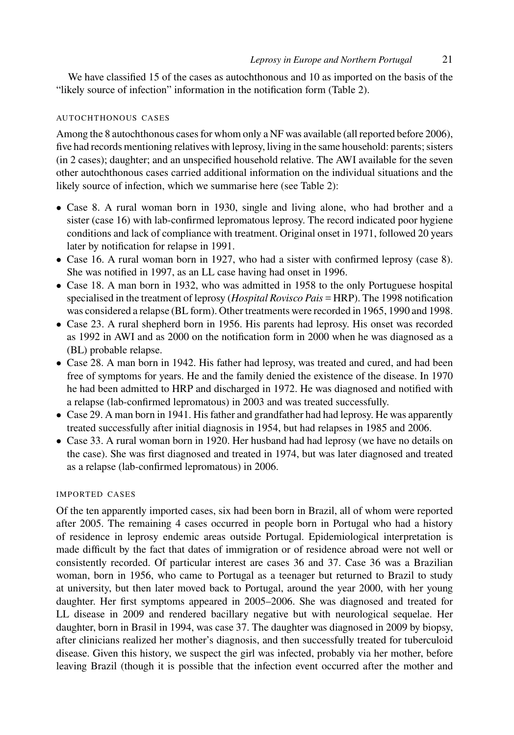We have classified 15 of the cases as autochthonous and 10 as imported on the basis of the "likely source of infection" information in the notification form (Table [2\)](#page-6-0).

#### AUTOCHTHONOUS CASES

Among the 8 autochthonous cases for whom only a NF was available (all reported before 2006), five had records mentioning relatives with leprosy, living in the same household: parents; sisters (in 2 cases); daughter; and an unspecified household relative. The AWI available for the seven other autochthonous cases carried additional information on the individual situations and the likely source of infection, which we summarise here (see Table [2\)](#page-6-0):

- Case 8. A rural woman born in 1930, single and living alone, who had brother and a sister (case 16) with lab-confirmed lepromatous leprosy. The record indicated poor hygiene conditions and lack of compliance with treatment. Original onset in 1971, followed 20 years later by notification for relapse in 1991.
- Case 16. A rural woman born in 1927, who had a sister with confirmed leprosy (case 8). She was notified in 1997, as an LL case having had onset in 1996.
- Case 18. A man born in 1932, who was admitted in 1958 to the only Portuguese hospital specialised in the treatment of leprosy (*Hospital Rovisco Pais* = HRP). The 1998 notification was considered a relapse (BL form). Other treatments were recorded in 1965, 1990 and 1998.
- Case 23. A rural shepherd born in 1956. His parents had leprosy. His onset was recorded as 1992 in AWI and as 2000 on the notification form in 2000 when he was diagnosed as a (BL) probable relapse.
- Case 28. A man born in 1942. His father had leprosy, was treated and cured, and had been free of symptoms for years. He and the family denied the existence of the disease. In 1970 he had been admitted to HRP and discharged in 1972. He was diagnosed and notified with a relapse (lab-confirmed lepromatous) in 2003 and was treated successfully.
- Case 29. A man born in 1941. His father and grandfather had had leprosy. He was apparently treated successfully after initial diagnosis in 1954, but had relapses in 1985 and 2006.
- Case 33. A rural woman born in 1920. Her husband had had leprosy (we have no details on the case). She was first diagnosed and treated in 1974, but was later diagnosed and treated as a relapse (lab-confirmed lepromatous) in 2006.

#### IMPORTED CASES

Of the ten apparently imported cases, six had been born in Brazil, all of whom were reported after 2005. The remaining 4 cases occurred in people born in Portugal who had a history of residence in leprosy endemic areas outside Portugal. Epidemiological interpretation is made difficult by the fact that dates of immigration or of residence abroad were not well or consistently recorded. Of particular interest are cases 36 and 37. Case 36 was a Brazilian woman, born in 1956, who came to Portugal as a teenager but returned to Brazil to study at university, but then later moved back to Portugal, around the year 2000, with her young daughter. Her first symptoms appeared in 2005–2006. She was diagnosed and treated for LL disease in 2009 and rendered bacillary negative but with neurological sequelae. Her daughter, born in Brasil in 1994, was case 37. The daughter was diagnosed in 2009 by biopsy, after clinicians realized her mother's diagnosis, and then successfully treated for tuberculoid disease. Given this history, we suspect the girl was infected, probably via her mother, before leaving Brazil (though it is possible that the infection event occurred after the mother and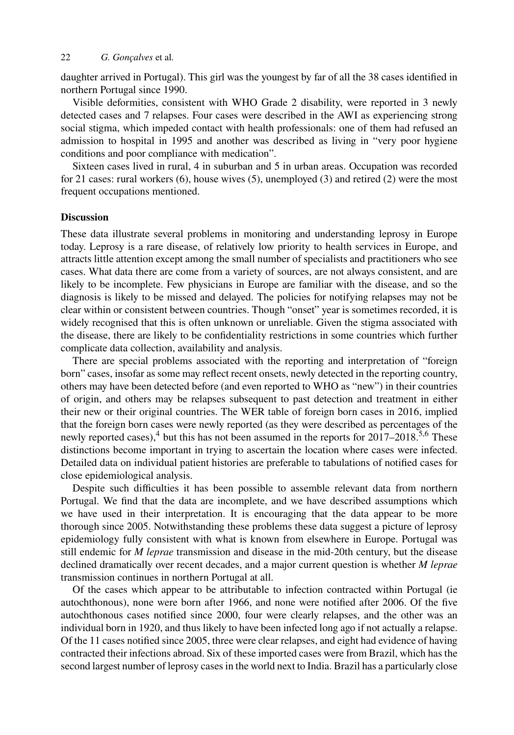daughter arrived in Portugal). This girl was the youngest by far of all the 38 cases identified in northern Portugal since 1990.

Visible deformities, consistent with WHO Grade 2 disability, were reported in 3 newly detected cases and 7 relapses. Four cases were described in the AWI as experiencing strong social stigma, which impeded contact with health professionals: one of them had refused an admission to hospital in 1995 and another was described as living in "very poor hygiene conditions and poor compliance with medication".

Sixteen cases lived in rural, 4 in suburban and 5 in urban areas. Occupation was recorded for 21 cases: rural workers (6), house wives (5), unemployed (3) and retired (2) were the most frequent occupations mentioned.

#### **Discussion**

These data illustrate several problems in monitoring and understanding leprosy in Europe today. Leprosy is a rare disease, of relatively low priority to health services in Europe, and attracts little attention except among the small number of specialists and practitioners who see cases. What data there are come from a variety of sources, are not always consistent, and are likely to be incomplete. Few physicians in Europe are familiar with the disease, and so the diagnosis is likely to be missed and delayed. The policies for notifying relapses may not be clear within or consistent between countries. Though "onset" year is sometimes recorded, it is widely recognised that this is often unknown or unreliable. Given the stigma associated with the disease, there are likely to be confidentiality restrictions in some countries which further complicate data collection, availability and analysis.

There are special problems associated with the reporting and interpretation of "foreign born" cases, insofar as some may reflect recent onsets, newly detected in the reporting country, others may have been detected before (and even reported to WHO as "new") in their countries of origin, and others may be relapses subsequent to past detection and treatment in either their new or their original countries. The WER table of foreign born cases in 2016, implied that the foreign born cases were newly reported (as they were described as percentages of the newly reported cases),<sup>[4](#page-10-8)</sup> but this has not been assumed in the reports for 2017–2018.<sup>[5](#page-10-14),[6](#page-10-3)</sup> These distinctions become important in trying to ascertain the location where cases were infected. Detailed data on individual patient histories are preferable to tabulations of notified cases for close epidemiological analysis.

Despite such difficulties it has been possible to assemble relevant data from northern Portugal. We find that the data are incomplete, and we have described assumptions which we have used in their interpretation. It is encouraging that the data appear to be more thorough since 2005. Notwithstanding these problems these data suggest a picture of leprosy epidemiology fully consistent with what is known from elsewhere in Europe. Portugal was still endemic for *M leprae* transmission and disease in the mid-20th century, but the disease declined dramatically over recent decades, and a major current question is whether *M leprae* transmission continues in northern Portugal at all.

Of the cases which appear to be attributable to infection contracted within Portugal (ie autochthonous), none were born after 1966, and none were notified after 2006. Of the five autochthonous cases notified since 2000, four were clearly relapses, and the other was an individual born in 1920, and thus likely to have been infected long ago if not actually a relapse. Of the 11 cases notified since 2005, three were clear relapses, and eight had evidence of having contracted their infections abroad. Six of these imported cases were from Brazil, which has the second largest number of leprosy cases in the world next to India. Brazil has a particularly close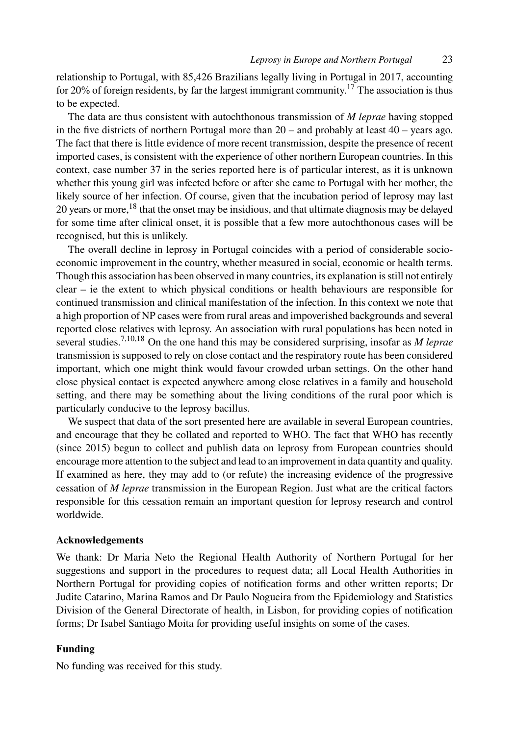relationship to Portugal, with 85,426 Brazilians legally living in Portugal in 2017, accounting for 20% of foreign residents, by far the largest immigrant community.<sup>[17](#page-10-15)</sup> The association is thus to be expected.

The data are thus consistent with autochthonous transmission of *M leprae* having stopped in the five districts of northern Portugal more than  $20 -$  and probably at least  $40 -$  years ago. The fact that there is little evidence of more recent transmission, despite the presence of recent imported cases, is consistent with the experience of other northern European countries. In this context, case number 37 in the series reported here is of particular interest, as it is unknown whether this young girl was infected before or after she came to Portugal with her mother, the likely source of her infection. Of course, given that the incubation period of leprosy may last 20 years or more,[18](#page-10-16) that the onset may be insidious, and that ultimate diagnosis may be delayed for some time after clinical onset, it is possible that a few more autochthonous cases will be recognised, but this is unlikely.

The overall decline in leprosy in Portugal coincides with a period of considerable socioeconomic improvement in the country, whether measured in social, economic or health terms. Though this association has been observed in many countries, its explanation is still not entirely clear – ie the extent to which physical conditions or health behaviours are responsible for continued transmission and clinical manifestation of the infection. In this context we note that a high proportion of NP cases were from rural areas and impoverished backgrounds and several reported close relatives with leprosy. An association with rural populations has been noted in several studies.[7](#page-10-4)[,10,](#page-10-7)[18](#page-10-16) On the one hand this may be considered surprising, insofar as *M leprae* transmission is supposed to rely on close contact and the respiratory route has been considered important, which one might think would favour crowded urban settings. On the other hand close physical contact is expected anywhere among close relatives in a family and household setting, and there may be something about the living conditions of the rural poor which is particularly conducive to the leprosy bacillus.

We suspect that data of the sort presented here are available in several European countries, and encourage that they be collated and reported to WHO. The fact that WHO has recently (since 2015) begun to collect and publish data on leprosy from European countries should encourage more attention to the subject and lead to an improvement in data quantity and quality. If examined as here, they may add to (or refute) the increasing evidence of the progressive cessation of *M leprae* transmission in the European Region. Just what are the critical factors responsible for this cessation remain an important question for leprosy research and control worldwide.

#### **Acknowledgements**

We thank: Dr Maria Neto the Regional Health Authority of Northern Portugal for her suggestions and support in the procedures to request data; all Local Health Authorities in Northern Portugal for providing copies of notification forms and other written reports; Dr Judite Catarino, Marina Ramos and Dr Paulo Nogueira from the Epidemiology and Statistics Division of the General Directorate of health, in Lisbon, for providing copies of notification forms; Dr Isabel Santiago Moita for providing useful insights on some of the cases.

# **Funding**

No funding was received for this study.